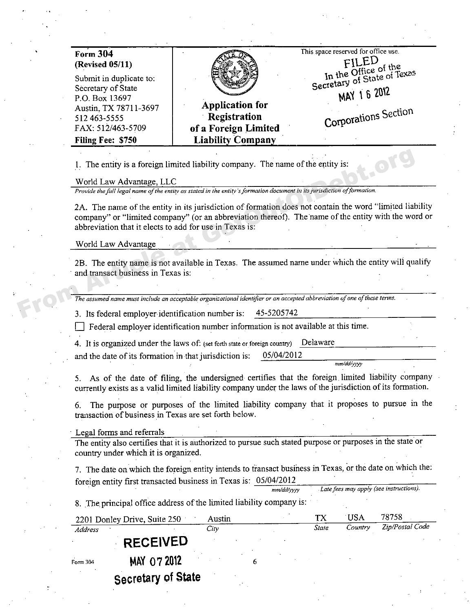| <b>Form 304</b><br>(Revised 05/11)                                                       |                                                                         | This space reserved for office use.                                         |
|------------------------------------------------------------------------------------------|-------------------------------------------------------------------------|-----------------------------------------------------------------------------|
| Submit in duplicate to:<br>Secretary of State<br>P.O. Box 13697<br>Austin, TX 78711-3697 | <b>Application for</b>                                                  | FILED<br>In the Office of the<br>Secretary of State of Texas<br>MAY 16 2012 |
| 512 463 5555<br>FAX: 512/463-5709<br>Filing Fee: \$750                                   | <b>Registration</b><br>of a Foreign Limited<br><b>Liability Company</b> | <b>Corporations Section</b>                                                 |
|                                                                                          |                                                                         |                                                                             |

1. The entity is a foreign limited liability company. The name of the entity is:

World Law Advantage, LLC

Provide the full legal name of the entity as stated in the entity's formation document in its jurisdiction of formation.

2A. The name of the entity in its jurisdiction of formation does not contain the word "limited liability company" or "limited company" (or an abbreviation thereof). The name of the entity with the word or abbreviation that it elects to add for use in Texas is:

World Law Advantage

2B. The entity name is not available in Texas. The assumed name under which the entity will qualify and transact business in Texas is:

The assumed name must include an acceptable organizational identifier or an accepted abbreviation of one of these terms.

45-5205742 3. Its federal employer identification number is:

Federal employer identification number information is not available at this time.

4. It is organized under the laws of: (set forth state or foreign country) Delaware

05/04/2012 and the date of its formation in that jurisdiction is:

5. As of the date of filing, the undersigned certifies that the foreign limited liability company currently exists as a valid limited liability company under the laws of the jurisdiction of its formation.

The purpose or purposes of the limited liability company that it proposes to pursue in the 6. transaction of business in Texas are set forth below.

Legal forms and referrals

The entity also certifies that it is authorized to pursue such stated purpose or purposes in the state or country under which it is organized.

7. The date on which the foreign entity intends to transact business in Texas, or the date on which the: foreign entity first transacted business in Texas is: 05/04/2012

Late fees may apply (see instructions) mn/dd/yyyy

mm/dd/yyyy

8. The principal office address of the limited liability company is:

|          | 2201 Donley Drive, Suite 250 | Austin |  | TХ    | USA     | 78758           |
|----------|------------------------------|--------|--|-------|---------|-----------------|
| Address  |                              | City   |  | State | Country | Zip/Postal Code |
|          | <b>RECEIVED</b>              |        |  |       |         |                 |
| Form 304 | MAY 07 2012                  |        |  |       |         |                 |
|          | <b>Secretary of State</b>    |        |  |       |         |                 |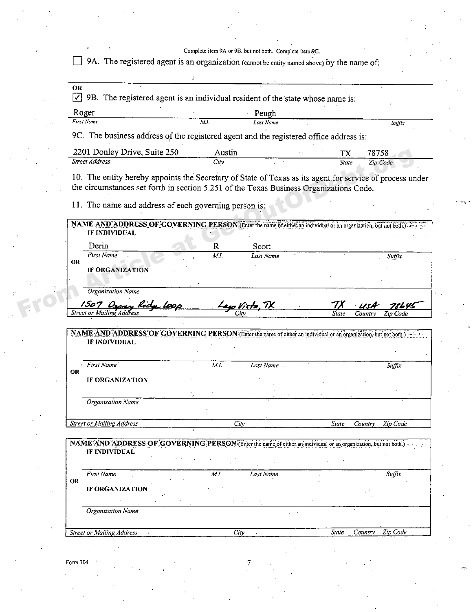Complete item 9A or 9B, but not both. Complete item 9C.

9A. The registered agent is an organization (cannot be entity named above) by the name of:

 $\boxed{\bigcirc}$  9B. The registered agent is an individual resident of the state whose name is:

| nder.<br>- -<br>____   | ________                 |           |               |
|------------------------|--------------------------|-----------|---------------|
| Fire<br>$\sim$<br>Name | ____<br>м.І.<br>$\cdots$ | Last Name | ---<br>Suffix |

9C. The business address of the registered agent and the registered office address is:

| 2201 D<br>Donley Drive, Suite 250<br>$\begin{array}{c} \begin{array}{c} \begin{array}{c} \begin{array}{c} \end{array} \\ \end{array} \end{array} \end{array}$<br>--------<br>_____ | ustin       | ------- | T٦γ   | -----<br>ەر                             |
|------------------------------------------------------------------------------------------------------------------------------------------------------------------------------------|-------------|---------|-------|-----------------------------------------|
| Street Address                                                                                                                                                                     | --<br>– Itv |         | State | $-1$<br>$\sim$<br>$\angle$ ode<br>Lip ' |

10. The entity hereby appoints the Secretary of State of Texas as its agent for service of process under the circumstances set forth in section 5.251 of the Texas Business Organizations Code.

11. The name and address of each governing person is:

|           | Derin                                                                                                           | $\mathbf R$ | Scott                                     |       |         |                    |
|-----------|-----------------------------------------------------------------------------------------------------------------|-------------|-------------------------------------------|-------|---------|--------------------|
|           | <b>First Name</b>                                                                                               | MI          | Last Name                                 |       |         | Suffix             |
| OR        | IF ORGANIZATION                                                                                                 |             |                                           |       |         |                    |
|           |                                                                                                                 |             |                                           |       |         |                    |
|           | <b>Organization Name</b>                                                                                        |             |                                           |       |         |                    |
|           |                                                                                                                 |             |                                           |       |         |                    |
|           | 1507 Ospay Rida Loop<br>Street or Mailing Address                                                               |             | <u>Lago Vista, TX.</u><br><sup>Citv</sup> | State | Country | 76 Y S<br>Zip Code |
|           |                                                                                                                 |             |                                           |       |         |                    |
|           | NAME AND ADDRESS OF GOVERNING PERSON (Enter the name of cither an individual or an organization, but not both.) |             |                                           |       |         |                    |
|           | IF INDIVIDUAL                                                                                                   |             |                                           |       |         |                    |
|           |                                                                                                                 |             |                                           |       |         |                    |
|           | First Name                                                                                                      | MI          | Last Name                                 |       |         | Suffix             |
| OR        |                                                                                                                 |             |                                           |       |         |                    |
|           | IF ORGANIZATION                                                                                                 |             |                                           |       |         |                    |
|           |                                                                                                                 |             |                                           |       |         |                    |
|           | <b>Organization Name</b>                                                                                        |             |                                           |       |         |                    |
|           |                                                                                                                 |             |                                           |       |         |                    |
|           | <b>Street or Mailing Address</b>                                                                                |             | City                                      | State | Country | Zip Code           |
|           |                                                                                                                 |             |                                           |       |         |                    |
|           | NAME AND ADDRESS OF GOVERNING PERSON (Enter the name of either an individual or an organization, but not both.) |             |                                           |       |         |                    |
|           | IF INDIVIDUAL                                                                                                   |             |                                           |       |         |                    |
|           |                                                                                                                 |             |                                           |       |         |                    |
|           | <b>First Name</b>                                                                                               | ML          | Last Name                                 |       |         | Suffix             |
| <b>OR</b> |                                                                                                                 |             |                                           |       |         |                    |
|           | <b>IF ORGANIZATION</b>                                                                                          |             |                                           |       |         |                    |
|           |                                                                                                                 |             |                                           |       |         |                    |
|           | Organization Name                                                                                               |             |                                           |       |         |                    |
|           |                                                                                                                 |             |                                           |       |         |                    |
|           |                                                                                                                 |             |                                           |       |         |                    |

 $OR$